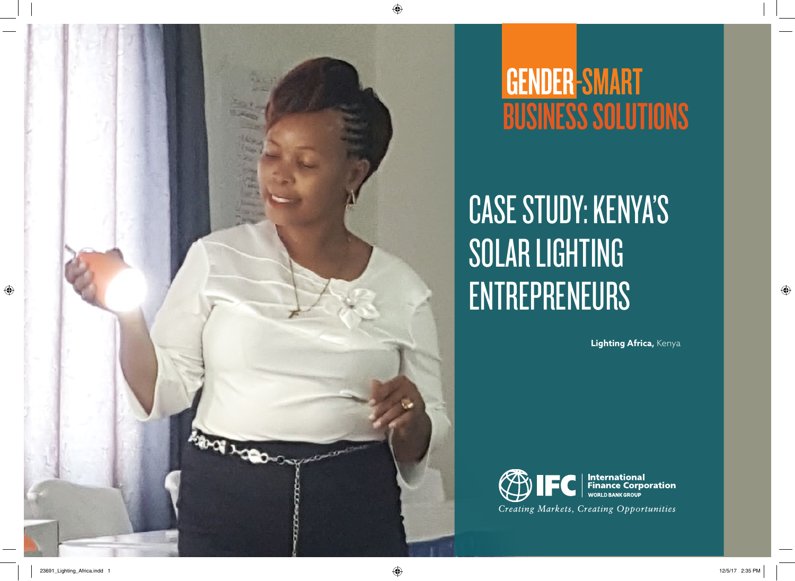

# **GENDER-SMART<br>BUSINESS SOLUTIONS**

# Case Study: KENYA'S SOLAR LIGHTING ENTREPRENEURS

**Lighting Africa,** Kenya

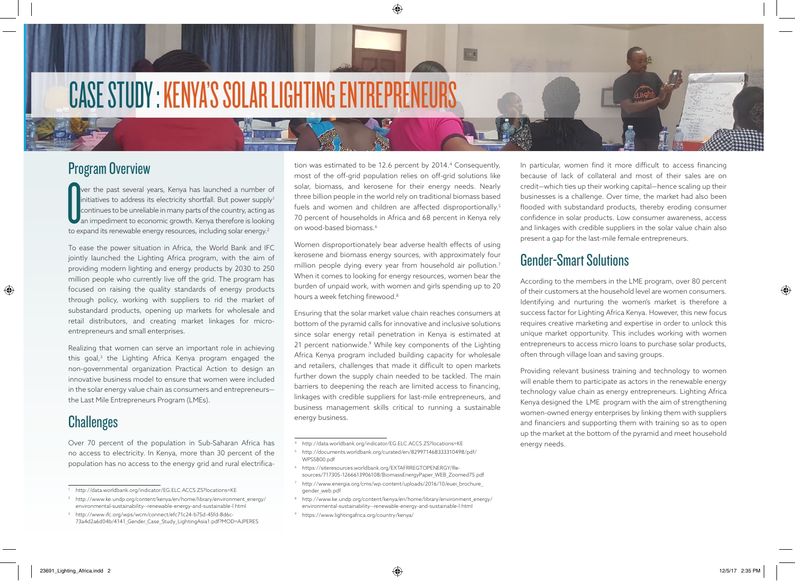# CASE STUDY : KENYA'S SOLAR LIGHTING ENTREPRE

## Program Overview

Ver the past several years, Kenya has launched a number (initiatives to address its electricity shortfall. But power supplemention of the country, acting an impediment to economic growth. Kenya therefore is looking to expa ver the past several years, Kenya has launched a number of initiatives to address its electricity shortfall. But power supply<sup>1</sup> continues to be unreliable in many parts of the country, acting as an impediment to economic growth. Kenya therefore is looking

To ease the power situation in Africa, the World Bank and IFC jointly launched the Lighting Africa program, with the aim of providing modern lighting and energy products by 2030 to 250 million people who currently live off the grid. The program has focused on raising the quality standards of energy products through policy, working with suppliers to rid the market of substandard products, opening up markets for wholesale and retail distributors, and creating market linkages for microentrepreneurs and small enterprises.

Realizing that women can serve an important role in achieving this goal,<sup>3</sup> the Lighting Africa Kenya program engaged the non-governmental organization Practical Action to design an innovative business model to ensure that women were included in the solar energy value chain as consumers and entrepreneurs the Last Mile Entrepreneurs Program (LMEs).

### **Challenges**

Over 70 percent of the population in Sub-Saharan Africa has no access to electricity. In Kenya, more than 30 percent of the population has no access to the energy grid and rural electrifica-

<sup>3</sup> http://www.ifc.org/wps/wcm/connect/efc71c24-b75d-45fd-8d6c-73a4d2a6d04b/4141\_Gender\_Case\_Study\_LightingAsia1.pdf?MOD=AJPERES

tion was estimated to be 12.6 percent by 2014.<sup>4</sup> Consequently, most of the off-grid population relies on off-grid solutions like solar, biomass, and kerosene for their energy needs. Nearly three billion people in the world rely on traditional biomass based fuels and women and children are affected disproportionally.<sup>5</sup> 70 percent of households in Africa and 68 percent in Kenya rely on wood-based biomass.6

Women disproportionately bear adverse health effects of using kerosene and biomass energy sources, with approximately four million people dying every year from household air pollution.<sup>7</sup> When it comes to looking for energy resources, women bear the burden of unpaid work, with women and girls spending up to 20 hours a week fetching firewood.<sup>8</sup>

Ensuring that the solar market value chain reaches consumers at bottom of the pyramid calls for innovative and inclusive solutions since solar energy retail penetration in Kenya is estimated at 21 percent nationwide.<sup>9</sup> While key components of the Lighting Africa Kenya program included building capacity for wholesale and retailers, challenges that made it difficult to open markets further down the supply chain needed to be tackled. The main barriers to deepening the reach are limited access to financing, linkages with credible suppliers for last-mile entrepreneurs, and business management skills critical to running a sustainable energy business.

- <sup>6</sup> https://siteresources.worldbank.org/EXTAFRREGTOPENERGY/Resources/717305-1266613906108/BiomassEnergyPaper\_WEB\_Zoomed75.pdf
- <sup>7</sup> http://www.energia.org/cms/wp-content/uploads/2016/10/euei\_brochure\_ gender\_web.pdf
- 8 http://www.ke.undp.org/content/kenya/en/home/library/environment\_energy/ environmental-sustainability--renewable-energy-and-sustainable-l.html
- <sup>9</sup> https://www.lightingafrica.org/country/kenya/

In particular, women find it more difficult to access financing because of lack of collateral and most of their sales are on credit—which ties up their working capital—hence scaling up their businesses is a challenge. Over time, the market had also been flooded with substandard products, thereby eroding consumer confidence in solar products. Low consumer awareness, access and linkages with credible suppliers in the solar value chain also present a gap for the last-mile female entrepreneurs.

# Gender-Smart Solutions

According to the members in the LME program, over 80 percent of their customers at the household level are women consumers. Identifying and nurturing the women's market is therefore a success factor for Lighting Africa Kenya. However, this new focus requires creative marketing and expertise in order to unlock this unique market opportunity. This includes working with women entrepreneurs to access micro loans to purchase solar products, often through village loan and saving groups.

Providing relevant business training and technology to women will enable them to participate as actors in the renewable energy technology value chain as energy entrepreneurs. Lighting Africa Kenya designed the LME program with the aim of strengthening women-owned energy enterprises by linking them with suppliers and financiers and supporting them with training so as to open up the market at the bottom of the pyramid and meet household energy needs.

<sup>1</sup> http://data.worldbank.org/indicator/EG.ELC.ACCS.ZS?locations=KE

<sup>&</sup>lt;sup>2</sup> http://www.ke.undp.org/content/kenya/en/home/library/environment\_energy/ environmental-sustainability--renewable-energy-and-sustainable-l.html

<sup>4</sup> http://data.worldbank.org/indicator/EG.ELC.ACCS.ZS?locations=KE

<sup>5</sup> http://documents.worldbank.org/curated/en/829971468333310498/pdf/ WPS5800.pdf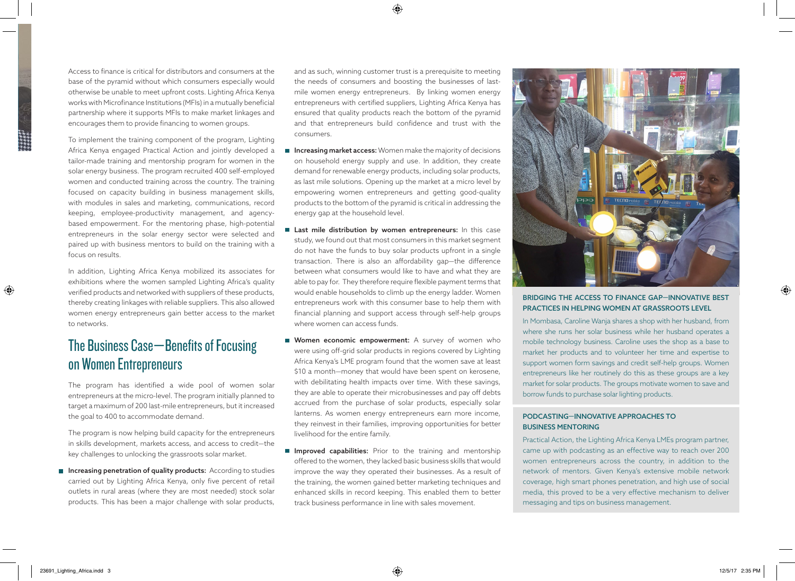Access to finance is critical for distributors and consumers at the base of the pyramid without which consumers especially would otherwise be unable to meet upfront costs. Lighting Africa Kenya works with Microfinance Institutions (MFIs) in a mutually beneficial partnership where it supports MFIs to make market linkages and encourages them to provide financing to women groups.

To implement the training component of the program, Lighting Africa Kenya engaged Practical Action and jointly developed a tailor-made training and mentorship program for women in the solar energy business. The program recruited 400 self-employed women and conducted training across the country. The training focused on capacity building in business management skills, with modules in sales and marketing, communications, record keeping, employee-productivity management, and agencybased empowerment. For the mentoring phase, high-potential entrepreneurs in the solar energy sector were selected and paired up with business mentors to build on the training with a focus on results.

In addition, Lighting Africa Kenya mobilized its associates for exhibitions where the women sampled Lighting Africa's quality verified products and networked with suppliers of these products, thereby creating linkages with reliable suppliers. This also allowed women energy entrepreneurs gain better access to the market to networks.

# The Business Case—Benefits of Focusing on Women Entrepreneurs

The program has identified a wide pool of women solar entrepreneurs at the micro-level. The program initially planned to target a maximum of 200 last-mile entrepreneurs, but it increased the goal to 400 to accommodate demand.

The program is now helping build capacity for the entrepreneurs in skills development, markets access, and access to credit—the key challenges to unlocking the grassroots solar market.

**Increasing penetration of quality products:** According to studies carried out by Lighting Africa Kenya, only five percent of retail outlets in rural areas (where they are most needed) stock solar products. This has been a major challenge with solar products,

and as such, winning customer trust is a prerequisite to meeting the needs of consumers and boosting the businesses of lastmile women energy entrepreneurs. By linking women energy entrepreneurs with certified suppliers, Lighting Africa Kenya has ensured that quality products reach the bottom of the pyramid and that entrepreneurs build confidence and trust with the consumers.

- Increasing market access: Women make the majority of decisions on household energy supply and use. In addition, they create demand for renewable energy products, including solar products, as last mile solutions. Opening up the market at a micro level by empowering women entrepreneurs and getting good-quality products to the bottom of the pyramid is critical in addressing the energy gap at the household level.
- Last mile distribution by women entrepreneurs: In this case study, we found out that most consumers in this market segment do not have the funds to buy solar products upfront in a single transaction. There is also an affordability gap—the difference between what consumers would like to have and what they are able to pay for. They therefore require flexible payment terms that would enable households to climb up the energy ladder. Women entrepreneurs work with this consumer base to help them with financial planning and support access through self-help groups where women can access funds.
- Women economic empowerment: A survey of women who were using off-grid solar products in regions covered by Lighting Africa Kenya's LME program found that the women save at least \$10 a month—money that would have been spent on kerosene, with debilitating health impacts over time. With these savings, they are able to operate their microbusinesses and pay off debts accrued from the purchase of solar products, especially solar lanterns. As women energy entrepreneurs earn more income, they reinvest in their families, improving opportunities for better livelihood for the entire family.
- **Improved capabilities:** Prior to the training and mentorship offered to the women, they lacked basic business skills that would improve the way they operated their businesses. As a result of the training, the women gained better marketing techniques and enhanced skills in record keeping. This enabled them to better track business performance in line with sales movement.



#### Bridging the access to finance gap—innovative best practices in helping women at grassroots level

In Mombasa, Caroline Wanja shares a shop with her husband, from where she runs her solar business while her husband operates a mobile technology business. Caroline uses the shop as a base to market her products and to volunteer her time and expertise to support women form savings and credit self-help groups. Women entrepreneurs like her routinely do this as these groups are a key market for solar products. The groups motivate women to save and borrow funds to purchase solar lighting products.

#### Podcasting—Innovative approaches to business mentoring

Practical Action, the Lighting Africa Kenya LMEs program partner, came up with podcasting as an effective way to reach over 200 women entrepreneurs across the country, in addition to the network of mentors. Given Kenya's extensive mobile network coverage, high smart phones penetration, and high use of social media, this proved to be a very effective mechanism to deliver messaging and tips on business management.